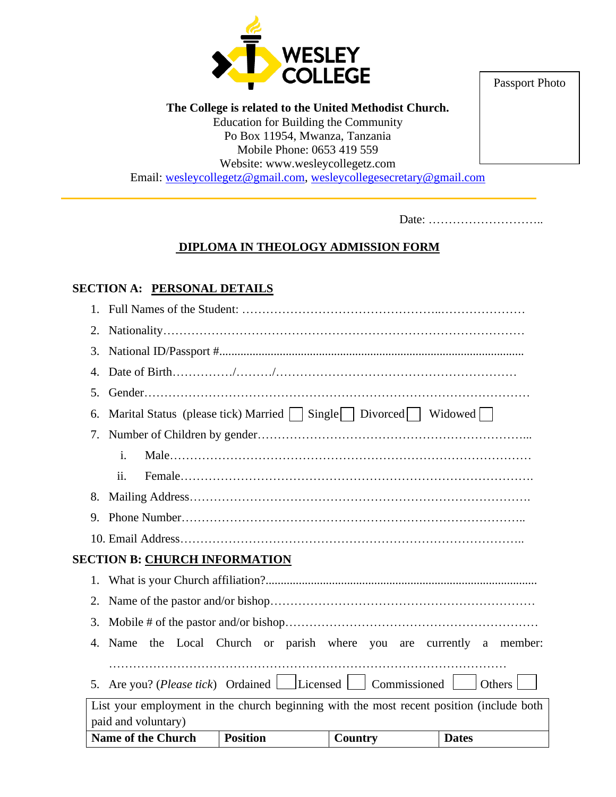

Passport Photo

**The College is related to the United Methodist Church.** Education for Building the Community Po Box 11954, Mwanza, Tanzania Mobile Phone: 0653 419 559 Website: www.wesleycollegetz.com Email: [wesleycollegetz@gmail.com,](mailto:wesleycollegetz@gmail.com) [wesleycollegesecretary@gmail.com](mailto:wesleycollegesecretary@gmail.com)

Date: ………………………..

## **DIPLOMA IN THEOLOGY ADMISSION FORM**

### **SECTION A: PERSONAL DETAILS**

|                                      |                                                                                | <b>Name of the Church</b>                                                                | <b>Position</b> | Country | <b>Dates</b> |  |  |
|--------------------------------------|--------------------------------------------------------------------------------|------------------------------------------------------------------------------------------|-----------------|---------|--------------|--|--|
|                                      |                                                                                | paid and voluntary)                                                                      |                 |         |              |  |  |
|                                      |                                                                                | List your employment in the church beginning with the most recent position (include both |                 |         |              |  |  |
|                                      | Are you? ( <i>Please tick</i> ) Ordained Licensed Commissioned<br>Others<br>5. |                                                                                          |                 |         |              |  |  |
|                                      | Name the Local Church or parish where you are currently a member:<br>4.        |                                                                                          |                 |         |              |  |  |
|                                      | 3.                                                                             |                                                                                          |                 |         |              |  |  |
|                                      |                                                                                |                                                                                          |                 |         |              |  |  |
|                                      | 2.                                                                             |                                                                                          |                 |         |              |  |  |
| 1.                                   |                                                                                |                                                                                          |                 |         |              |  |  |
| <b>SECTION B: CHURCH INFORMATION</b> |                                                                                |                                                                                          |                 |         |              |  |  |
|                                      |                                                                                |                                                                                          |                 |         |              |  |  |
|                                      | 9.                                                                             |                                                                                          |                 |         |              |  |  |
|                                      | 8.                                                                             |                                                                                          |                 |         |              |  |  |
|                                      |                                                                                | ii.                                                                                      |                 |         |              |  |  |
|                                      |                                                                                | i.                                                                                       |                 |         |              |  |  |
|                                      | 7.                                                                             |                                                                                          |                 |         |              |  |  |
|                                      | 6.                                                                             | Marital Status (please tick) Married $\Box$ Single $\Box$ Divorced $\Box$ Widowed $\Box$ |                 |         |              |  |  |
|                                      | 5.                                                                             |                                                                                          |                 |         |              |  |  |
|                                      | 4.                                                                             |                                                                                          |                 |         |              |  |  |
|                                      | 3.                                                                             |                                                                                          |                 |         |              |  |  |
|                                      | 2.                                                                             |                                                                                          |                 |         |              |  |  |
|                                      |                                                                                |                                                                                          |                 |         |              |  |  |
|                                      |                                                                                |                                                                                          |                 |         |              |  |  |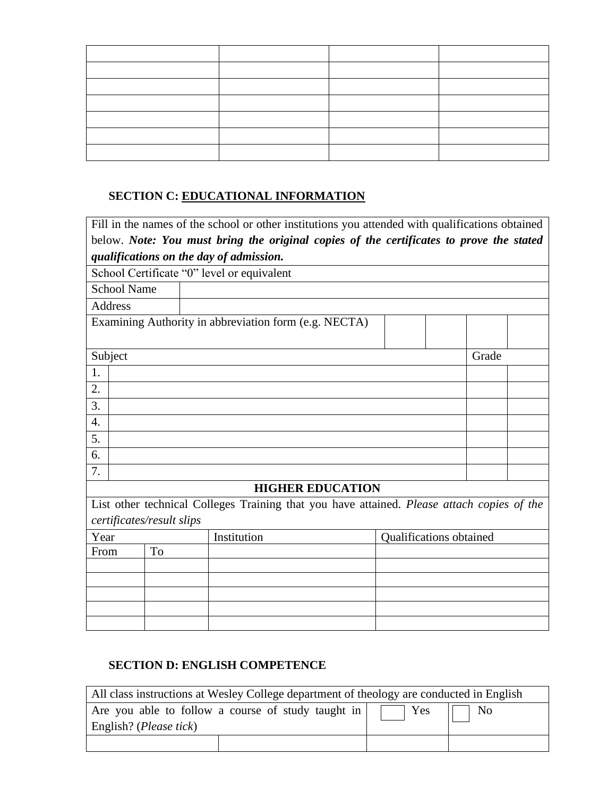# **SECTION C: EDUCATIONAL INFORMATION**

| Fill in the names of the school or other institutions you attended with qualifications obtained |                    |    |  |                                                                                         |                         |  |       |  |
|-------------------------------------------------------------------------------------------------|--------------------|----|--|-----------------------------------------------------------------------------------------|-------------------------|--|-------|--|
|                                                                                                 |                    |    |  | below. Note: You must bring the original copies of the certificates to prove the stated |                         |  |       |  |
|                                                                                                 |                    |    |  | qualifications on the day of admission.                                                 |                         |  |       |  |
|                                                                                                 |                    |    |  | School Certificate "0" level or equivalent                                              |                         |  |       |  |
|                                                                                                 | <b>School Name</b> |    |  |                                                                                         |                         |  |       |  |
|                                                                                                 | Address            |    |  |                                                                                         |                         |  |       |  |
|                                                                                                 |                    |    |  | Examining Authority in abbreviation form (e.g. NECTA)                                   |                         |  |       |  |
|                                                                                                 |                    |    |  |                                                                                         |                         |  |       |  |
|                                                                                                 | Subject            |    |  |                                                                                         |                         |  | Grade |  |
| 1.                                                                                              |                    |    |  |                                                                                         |                         |  |       |  |
| 2.                                                                                              |                    |    |  |                                                                                         |                         |  |       |  |
| 3.                                                                                              |                    |    |  |                                                                                         |                         |  |       |  |
| 4.                                                                                              |                    |    |  |                                                                                         |                         |  |       |  |
| 5.                                                                                              |                    |    |  |                                                                                         |                         |  |       |  |
| 6.                                                                                              |                    |    |  |                                                                                         |                         |  |       |  |
| 7.                                                                                              |                    |    |  |                                                                                         |                         |  |       |  |
| <b>HIGHER EDUCATION</b>                                                                         |                    |    |  |                                                                                         |                         |  |       |  |
| List other technical Colleges Training that you have attained. Please attach copies of the      |                    |    |  |                                                                                         |                         |  |       |  |
| certificates/result slips                                                                       |                    |    |  |                                                                                         |                         |  |       |  |
| Year                                                                                            |                    |    |  | Institution                                                                             | Qualifications obtained |  |       |  |
| From                                                                                            |                    | To |  |                                                                                         |                         |  |       |  |
|                                                                                                 |                    |    |  |                                                                                         |                         |  |       |  |
|                                                                                                 |                    |    |  |                                                                                         |                         |  |       |  |
|                                                                                                 |                    |    |  |                                                                                         |                         |  |       |  |
|                                                                                                 |                    |    |  |                                                                                         |                         |  |       |  |

## **SECTION D: ENGLISH COMPETENCE**

| All class instructions at Wesley College department of theology are conducted in English |                                                                                                       |  |  |  |
|------------------------------------------------------------------------------------------|-------------------------------------------------------------------------------------------------------|--|--|--|
|                                                                                          | Are you able to follow a course of study taught in $\boxed{\phantom{a}}$ Yes $\boxed{\phantom{a}}$ No |  |  |  |
| English? ( <i>Please tick</i> )                                                          |                                                                                                       |  |  |  |
|                                                                                          |                                                                                                       |  |  |  |